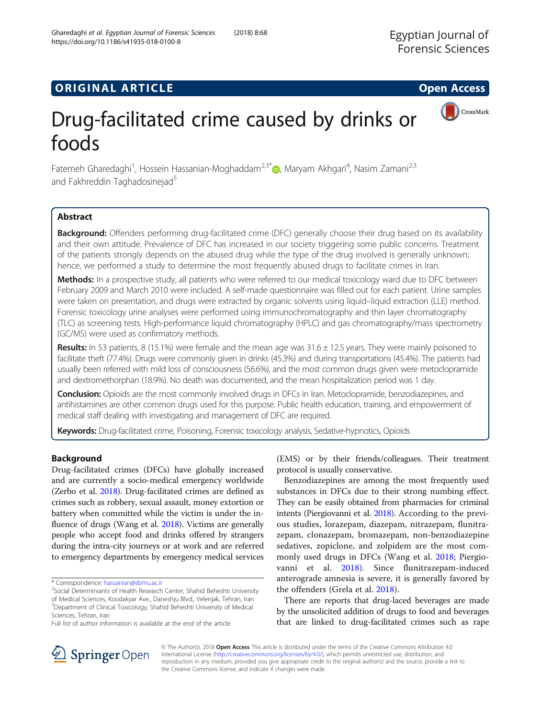# **ORIGINAL ARTICLE CONSERVANCE IN A LOCAL CONSERVANCE IN A LOCAL CONSERVANCE IN A LOCAL CONSERVANCE IN A LOCAL CONS**

# Drug-facilitated crime caused by drinks or foods

Fatemeh Gharedaghi<sup>1</sup>, Hossein Hassanian-Moghaddam<sup>2,3\*</sup>®, Maryam Akhgari<sup>4</sup>, Nasim Zamani<sup>2,3</sup> and Fakhreddin Taghadosinejad<sup>5</sup>

# Abstract

Background: Offenders performing drug-facilitated crime (DFC) generally choose their drug based on its availability and their own attitude. Prevalence of DFC has increased in our society triggering some public concerns. Treatment of the patients strongly depends on the abused drug while the type of the drug involved is generally unknown; hence, we performed a study to determine the most frequently abused drugs to facilitate crimes in Iran.

Methods: In a prospective study, all patients who were referred to our medical toxicology ward due to DFC between February 2009 and March 2010 were included. A self-made questionnaire was filled out for each patient. Urine samples were taken on presentation, and drugs were extracted by organic solvents using liquid–liquid extraction (LLE) method. Forensic toxicology urine analyses were performed using immunochromatography and thin layer chromatography (TLC) as screening tests. High-performance liquid chromatography (HPLC) and gas chromatography/mass spectrometry (GC/MS) were used as confirmatory methods.

Results: In 53 patients, 8 (15.1%) were female and the mean age was 31.6 ± 12.5 years. They were mainly poisoned to facilitate theft (77.4%). Drugs were commonly given in drinks (45.3%) and during transportations (45.4%). The patients had usually been referred with mild loss of consciousness (56.6%), and the most common drugs given were metoclopramide and dextromethorphan (18.9%). No death was documented, and the mean hospitalization period was 1 day.

Conclusion: Opioids are the most commonly involved drugs in DFCs in Iran. Metoclopramide, benzodiazepines, and antihistamines are other common drugs used for this purpose. Public health education, training, and empowerment of medical staff dealing with investigating and management of DFC are required.

Keywords: Drug-facilitated crime, Poisoning, Forensic toxicology analysis, Sedative-hypnotics, Opioids

# Background

Drug-facilitated crimes (DFCs) have globally increased and are currently a socio-medical emergency worldwide (Zerbo et al. [2018](#page-6-0)). Drug-facilitated crimes are defined as crimes such as robbery, sexual assault, money extortion or battery when committed while the victim is under the influence of drugs (Wang et al. [2018](#page-6-0)). Victims are generally people who accept food and drinks offered by strangers during the intra-city journeys or at work and are referred to emergency departments by emergency medical services

(EMS) or by their friends/colleagues. Their treatment protocol is usually conservative.

Benzodiazepines are among the most frequently used substances in DFCs due to their strong numbing effect. They can be easily obtained from pharmacies for criminal intents (Piergiovanni et al. [2018\)](#page-5-0). According to the previous studies, lorazepam, diazepam, nitrazepam, flunitrazepam, clonazepam, bromazepam, non-benzodiazepine sedatives, zopiclone, and zolpidem are the most commonly used drugs in DFCs (Wang et al. [2018;](#page-6-0) Piergiovanni et al. [2018\)](#page-5-0). Since flunitrazepam-induced anterograde amnesia is severe, it is generally favored by the offenders (Grela et al. [2018](#page-5-0)).

There are reports that drug-laced beverages are made by the unsolicited addition of drugs to food and beverages that are linked to drug-facilitated crimes such as rape



© The Author(s). 2018 Open Access This article is distributed under the terms of the Creative Commons Attribution 4.0 International License ([http://creativecommons.org/licenses/by/4.0/\)](http://creativecommons.org/licenses/by/4.0/), which permits unrestricted use, distribution, and reproduction in any medium, provided you give appropriate credit to the original author(s) and the source, provide a link to the Creative Commons license, and indicate if changes were made.





<sup>\*</sup> Correspondence: [hassanian@sbmu.ac.ir](mailto:hassanian@sbmu.ac.ir) <sup>2</sup>

<sup>&</sup>lt;sup>2</sup>Social Determiniants of Health Research Center, Shahid Beheshti University of Medical Sciences, Koodakyar Ave., Daneshju Blvd., Velenjak, Tehran, Iran <sup>3</sup>Department of Clinical Toxicology, Shahid Beheshti University of Medical

Sciences, Tehran, Iran Full list of author information is available at the end of the article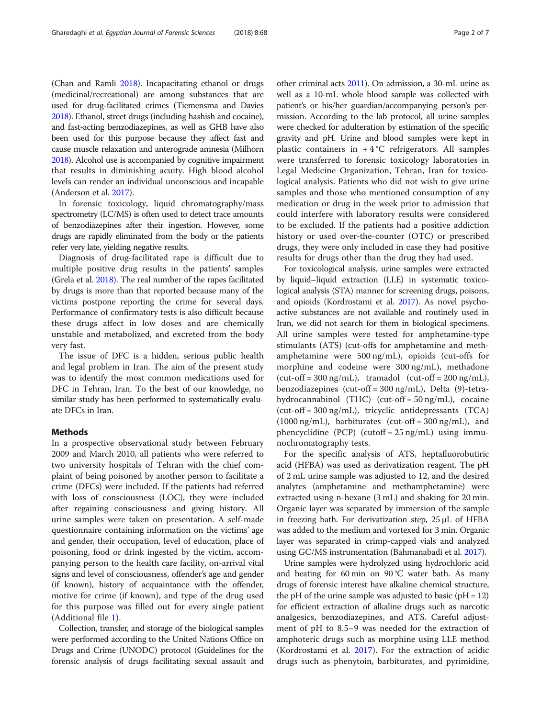(Chan and Ramli [2018](#page-5-0)). Incapacitating ethanol or drugs (medicinal/recreational) are among substances that are used for drug-facilitated crimes (Tiemensma and Davies [2018\)](#page-5-0). Ethanol, street drugs (including hashish and cocaine), and fast-acting benzodiazepines, as well as GHB have also been used for this purpose because they affect fast and cause muscle relaxation and anterograde amnesia (Milhorn [2018\)](#page-5-0). Alcohol use is accompanied by cognitive impairment that results in diminishing acuity. High blood alcohol levels can render an individual unconscious and incapable (Anderson et al. [2017](#page-5-0)).

In forensic toxicology, liquid chromatography/mass spectrometry (LC/MS) is often used to detect trace amounts of benzodiazepines after their ingestion. However, some drugs are rapidly eliminated from the body or the patients refer very late, yielding negative results.

Diagnosis of drug-facilitated rape is difficult due to multiple positive drug results in the patients' samples (Grela et al. [2018\)](#page-5-0). The real number of the rapes facilitated by drugs is more than that reported because many of the victims postpone reporting the crime for several days. Performance of confirmatory tests is also difficult because these drugs affect in low doses and are chemically unstable and metabolized, and excreted from the body very fast.

The issue of DFC is a hidden, serious public health and legal problem in Iran. The aim of the present study was to identify the most common medications used for DFC in Tehran, Iran. To the best of our knowledge, no similar study has been performed to systematically evaluate DFCs in Iran.

## Methods

In a prospective observational study between February 2009 and March 2010, all patients who were referred to two university hospitals of Tehran with the chief complaint of being poisoned by another person to facilitate a crime (DFCs) were included. If the patients had referred with loss of consciousness (LOC), they were included after regaining consciousness and giving history. All urine samples were taken on presentation. A self-made questionnaire containing information on the victims' age and gender, their occupation, level of education, place of poisoning, food or drink ingested by the victim, accompanying person to the health care facility, on-arrival vital signs and level of consciousness, offender's age and gender (if known), history of acquaintance with the offender, motive for crime (if known), and type of the drug used for this purpose was filled out for every single patient (Additional file [1\)](#page-5-0).

Collection, transfer, and storage of the biological samples were performed according to the United Nations Office on Drugs and Crime (UNODC) protocol (Guidelines for the forensic analysis of drugs facilitating sexual assault and other criminal acts [2011\)](#page-5-0). On admission, a 30-mL urine as well as a 10-mL whole blood sample was collected with patient's or his/her guardian/accompanying person's permission. According to the lab protocol, all urine samples were checked for adulteration by estimation of the specific gravity and pH. Urine and blood samples were kept in plastic containers in  $+4$  °C refrigerators. All samples were transferred to forensic toxicology laboratories in Legal Medicine Organization, Tehran, Iran for toxicological analysis. Patients who did not wish to give urine samples and those who mentioned consumption of any medication or drug in the week prior to admission that could interfere with laboratory results were considered to be excluded. If the patients had a positive addiction history or used over-the-counter (OTC) or prescribed drugs, they were only included in case they had positive results for drugs other than the drug they had used.

For toxicological analysis, urine samples were extracted by liquid–liquid extraction (LLE) in systematic toxicological analysis (STA) manner for screening drugs, poisons, and opioids (Kordrostami et al. [2017\)](#page-5-0). As novel psychoactive substances are not available and routinely used in Iran, we did not search for them in biological specimens. All urine samples were tested for amphetamine-type stimulants (ATS) (cut-offs for amphetamine and methamphetamine were 500 ng/mL), opioids (cut-offs for morphine and codeine were 300 ng/mL), methadone  $(cut-off = 300 ng/mL)$ , tramadol  $(cut-off = 200 ng/mL)$ , benzodiazepines (cut-off = 300 ng/mL), Delta (9)-tetrahydrocannabinol (THC) (cut-off = 50 ng/mL), cocaine (cut-off = 300 ng/mL), tricyclic antidepressants (TCA)  $(1000 \text{ ng/mL})$ , barbiturates  $(cut-off = 300 \text{ ng/mL})$ , and phencyclidine  $(PCP)$  (cutoff = 25 ng/mL) using immunochromatography tests.

For the specific analysis of ATS, heptafluorobutiric acid (HFBA) was used as derivatization reagent. The pH of 2 mL urine sample was adjusted to 12, and the desired analytes (amphetamine and methamphetamine) were extracted using n-hexane (3 mL) and shaking for 20 min. Organic layer was separated by immersion of the sample in freezing bath. For derivatization step, 25 μL of HFBA was added to the medium and vortexed for 3 min. Organic layer was separated in crimp-capped vials and analyzed using GC/MS instrumentation (Bahmanabadi et al. [2017\)](#page-5-0).

Urine samples were hydrolyzed using hydrochloric acid and heating for 60 min on  $90^{\circ}$ C water bath. As many drugs of forensic interest have alkaline chemical structure, the pH of the urine sample was adjusted to basic ( $pH = 12$ ) for efficient extraction of alkaline drugs such as narcotic analgesics, benzodiazepines, and ATS. Careful adjustment of pH to 8.5–9 was needed for the extraction of amphoteric drugs such as morphine using LLE method (Kordrostami et al. [2017](#page-5-0)). For the extraction of acidic drugs such as phenytoin, barbiturates, and pyrimidine,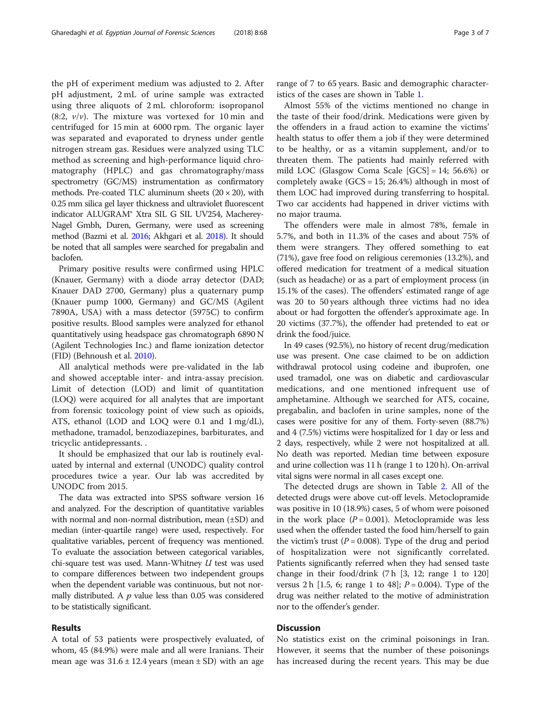the pH of experiment medium was adjusted to 2. After pH adjustment, 2 mL of urine sample was extracted using three aliquots of 2 mL chloroform: isopropanol  $(8:2, v/v)$ . The mixture was vortexed for 10 min and centrifuged for 15 min at 6000 rpm. The organic layer was separated and evaporated to dryness under gentle nitrogen stream gas. Residues were analyzed using TLC method as screening and high-performance liquid chromatography (HPLC) and gas chromatography/mass spectrometry (GC/MS) instrumentation as confirmatory methods. Pre-coated TLC aluminum sheets  $(20 \times 20)$ , with 0.25 mm silica gel layer thickness and ultraviolet fluorescent indicator ALUGRAM® Xtra SIL G SIL UV254, Macherey-Nagel Gmbh, Duren, Germany, were used as screening method (Bazmi et al. [2016;](#page-5-0) Akhgari et al. [2018\)](#page-5-0). It should be noted that all samples were searched for pregabalin and baclofen.

Primary positive results were confirmed using HPLC (Knauer, Germany) with a diode array detector (DAD; Knauer DAD 2700, Germany) plus a quaternary pump (Knauer pump 1000, Germany) and GC/MS (Agilent 7890A, USA) with a mass detector (5975C) to confirm positive results. Blood samples were analyzed for ethanol quantitatively using headspace gas chromatograph 6890 N (Agilent Technologies Inc.) and flame ionization detector (FID) (Behnoush et al. [2010](#page-5-0)).

All analytical methods were pre-validated in the lab and showed acceptable inter- and intra-assay precision. Limit of detection (LOD) and limit of quantitation (LOQ) were acquired for all analytes that are important from forensic toxicology point of view such as opioids, ATS, ethanol (LOD and LOQ were 0.1 and 1 mg/dL), methadone, tramadol, benzodiazepines, barbiturates, and tricyclic antidepressants. .

It should be emphasized that our lab is routinely evaluated by internal and external (UNODC) quality control procedures twice a year. Our lab was accredited by UNODC from 2015.

The data was extracted into SPSS software version 16 and analyzed. For the description of quantitative variables with normal and non-normal distribution, mean (±SD) and median (inter-quartile range) were used, respectively. For qualitative variables, percent of frequency was mentioned. To evaluate the association between categorical variables, chi-square test was used. Mann-Whitney  $U$  test was used to compare differences between two independent groups when the dependent variable was continuous, but not normally distributed. A  $p$  value less than 0.05 was considered to be statistically significant.

# Results

A total of 53 patients were prospectively evaluated, of whom, 45 (84.9%) were male and all were Iranians. Their mean age was  $31.6 \pm 12.4$  years (mean  $\pm$  SD) with an age

range of 7 to 65 years. Basic and demographic characteristics of the cases are shown in Table [1](#page-3-0).

Almost 55% of the victims mentioned no change in the taste of their food/drink. Medications were given by the offenders in a fraud action to examine the victims' health status to offer them a job if they were determined to be healthy, or as a vitamin supplement, and/or to threaten them. The patients had mainly referred with mild LOC (Glasgow Coma Scale [GCS] = 14; 56.6%) or completely awake  $(GCS = 15; 26.4%)$  although in most of them LOC had improved during transferring to hospital. Two car accidents had happened in driver victims with no major trauma.

The offenders were male in almost 78%, female in 5.7%, and both in 11.3% of the cases and about 75% of them were strangers. They offered something to eat (71%), gave free food on religious ceremonies (13.2%), and offered medication for treatment of a medical situation (such as headache) or as a part of employment process (in 15.1% of the cases). The offenders' estimated range of age was 20 to 50 years although three victims had no idea about or had forgotten the offender's approximate age. In 20 victims (37.7%), the offender had pretended to eat or drink the food/juice.

In 49 cases (92.5%), no history of recent drug/medication use was present. One case claimed to be on addiction withdrawal protocol using codeine and ibuprofen, one used tramadol, one was on diabetic and cardiovascular medications, and one mentioned infrequent use of amphetamine. Although we searched for ATS, cocaine, pregabalin, and baclofen in urine samples, none of the cases were positive for any of them. Forty-seven (88.7%) and 4 (7.5%) victims were hospitalized for 1 day or less and 2 days, respectively, while 2 were not hospitalized at all. No death was reported. Median time between exposure and urine collection was 11 h (range 1 to 120 h). On-arrival vital signs were normal in all cases except one.

The detected drugs are shown in Table [2](#page-3-0). All of the detected drugs were above cut-off levels. Metoclopramide was positive in 10 (18.9%) cases, 5 of whom were poisoned in the work place  $(P = 0.001)$ . Metoclopramide was less used when the offender tasted the food him/herself to gain the victim's trust ( $P = 0.008$ ). Type of the drug and period of hospitalization were not significantly correlated. Patients significantly referred when they had sensed taste change in their food/drink (7 h [3, 12; range 1 to 120] versus 2 h [1.5, 6; range 1 to 48];  $P = 0.004$ ). Type of the drug was neither related to the motive of administration nor to the offender's gender.

# **Discussion**

No statistics exist on the criminal poisonings in Iran. However, it seems that the number of these poisonings has increased during the recent years. This may be due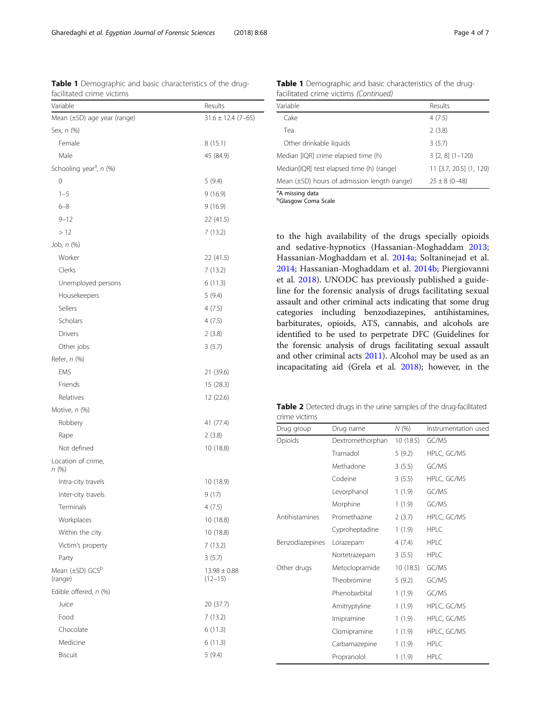<span id="page-3-0"></span>Table 1 Demographic and basic characteristics of the drugfacilitated crime victims

| Mean (±SD) age year (range)<br>$31.6 \pm 12.4$ (7-65)<br>Sex, n (%)<br>Female<br>8(15.1)<br>Male<br>45 (84.9)<br>Schooling year <sup>a</sup> , n (%)<br>0<br>5(9.4)<br>$1 - 5$<br>9(16.9)<br>$6 - 8$<br>9 (16.9)<br>$9 - 12$<br>22 (41.5)<br>>12<br>7(13.2)<br>Job, $n$ $(\%)$<br>Worker<br>22 (41.5)<br>Clerks<br>7 (13.2)<br>Unemployed persons<br>6(11.3)<br>5(9.4)<br>Housekeepers<br>Sellers<br>4(7.5)<br>Scholars<br>4 (7.5)<br>Drivers<br>2(3.8)<br>3(5.7)<br>Other jobs<br>Refer, n (%)<br><b>EMS</b><br>21 (39.6)<br>Friends<br>15(28.3)<br>Relatives<br>12 (22.6)<br>Motive, n (%)<br>Robbery<br>41 (77.4)<br>2(3.8)<br>Rape<br>Not defined<br>10 (18.8)<br>Location of crime,<br>n (%)<br>Intra-city travels<br>10 (18.9)<br>Inter-city travels<br>9(17)<br>Terminals<br>4(7.5)<br>Workplaces<br>10 (18.8)<br>Within the city<br>10 (18.8)<br>Victim's property<br>7(13.2)<br>3(5.7)<br>Party<br>Mean (±SD) GCS <sup>b</sup><br>$13.98 \pm 0.88$<br>(range)<br>$(12 - 15)$<br>Edible offered, n (%)<br>Juice<br>20 (37.7)<br>Food<br>7(13.2)<br>Chocolate<br>6(11.3)<br>Medicine<br>6(11.3)<br><b>Biscuit</b><br>5(9.4) | Variable | Results |  |
|------------------------------------------------------------------------------------------------------------------------------------------------------------------------------------------------------------------------------------------------------------------------------------------------------------------------------------------------------------------------------------------------------------------------------------------------------------------------------------------------------------------------------------------------------------------------------------------------------------------------------------------------------------------------------------------------------------------------------------------------------------------------------------------------------------------------------------------------------------------------------------------------------------------------------------------------------------------------------------------------------------------------------------------------------------------------------------------------------------------------------------|----------|---------|--|
|                                                                                                                                                                                                                                                                                                                                                                                                                                                                                                                                                                                                                                                                                                                                                                                                                                                                                                                                                                                                                                                                                                                                    |          |         |  |
|                                                                                                                                                                                                                                                                                                                                                                                                                                                                                                                                                                                                                                                                                                                                                                                                                                                                                                                                                                                                                                                                                                                                    |          |         |  |
|                                                                                                                                                                                                                                                                                                                                                                                                                                                                                                                                                                                                                                                                                                                                                                                                                                                                                                                                                                                                                                                                                                                                    |          |         |  |
|                                                                                                                                                                                                                                                                                                                                                                                                                                                                                                                                                                                                                                                                                                                                                                                                                                                                                                                                                                                                                                                                                                                                    |          |         |  |
|                                                                                                                                                                                                                                                                                                                                                                                                                                                                                                                                                                                                                                                                                                                                                                                                                                                                                                                                                                                                                                                                                                                                    |          |         |  |
|                                                                                                                                                                                                                                                                                                                                                                                                                                                                                                                                                                                                                                                                                                                                                                                                                                                                                                                                                                                                                                                                                                                                    |          |         |  |
|                                                                                                                                                                                                                                                                                                                                                                                                                                                                                                                                                                                                                                                                                                                                                                                                                                                                                                                                                                                                                                                                                                                                    |          |         |  |
|                                                                                                                                                                                                                                                                                                                                                                                                                                                                                                                                                                                                                                                                                                                                                                                                                                                                                                                                                                                                                                                                                                                                    |          |         |  |
|                                                                                                                                                                                                                                                                                                                                                                                                                                                                                                                                                                                                                                                                                                                                                                                                                                                                                                                                                                                                                                                                                                                                    |          |         |  |
|                                                                                                                                                                                                                                                                                                                                                                                                                                                                                                                                                                                                                                                                                                                                                                                                                                                                                                                                                                                                                                                                                                                                    |          |         |  |
|                                                                                                                                                                                                                                                                                                                                                                                                                                                                                                                                                                                                                                                                                                                                                                                                                                                                                                                                                                                                                                                                                                                                    |          |         |  |
|                                                                                                                                                                                                                                                                                                                                                                                                                                                                                                                                                                                                                                                                                                                                                                                                                                                                                                                                                                                                                                                                                                                                    |          |         |  |
|                                                                                                                                                                                                                                                                                                                                                                                                                                                                                                                                                                                                                                                                                                                                                                                                                                                                                                                                                                                                                                                                                                                                    |          |         |  |
|                                                                                                                                                                                                                                                                                                                                                                                                                                                                                                                                                                                                                                                                                                                                                                                                                                                                                                                                                                                                                                                                                                                                    |          |         |  |
|                                                                                                                                                                                                                                                                                                                                                                                                                                                                                                                                                                                                                                                                                                                                                                                                                                                                                                                                                                                                                                                                                                                                    |          |         |  |
|                                                                                                                                                                                                                                                                                                                                                                                                                                                                                                                                                                                                                                                                                                                                                                                                                                                                                                                                                                                                                                                                                                                                    |          |         |  |
|                                                                                                                                                                                                                                                                                                                                                                                                                                                                                                                                                                                                                                                                                                                                                                                                                                                                                                                                                                                                                                                                                                                                    |          |         |  |
|                                                                                                                                                                                                                                                                                                                                                                                                                                                                                                                                                                                                                                                                                                                                                                                                                                                                                                                                                                                                                                                                                                                                    |          |         |  |
|                                                                                                                                                                                                                                                                                                                                                                                                                                                                                                                                                                                                                                                                                                                                                                                                                                                                                                                                                                                                                                                                                                                                    |          |         |  |
|                                                                                                                                                                                                                                                                                                                                                                                                                                                                                                                                                                                                                                                                                                                                                                                                                                                                                                                                                                                                                                                                                                                                    |          |         |  |
|                                                                                                                                                                                                                                                                                                                                                                                                                                                                                                                                                                                                                                                                                                                                                                                                                                                                                                                                                                                                                                                                                                                                    |          |         |  |
|                                                                                                                                                                                                                                                                                                                                                                                                                                                                                                                                                                                                                                                                                                                                                                                                                                                                                                                                                                                                                                                                                                                                    |          |         |  |
|                                                                                                                                                                                                                                                                                                                                                                                                                                                                                                                                                                                                                                                                                                                                                                                                                                                                                                                                                                                                                                                                                                                                    |          |         |  |
|                                                                                                                                                                                                                                                                                                                                                                                                                                                                                                                                                                                                                                                                                                                                                                                                                                                                                                                                                                                                                                                                                                                                    |          |         |  |
|                                                                                                                                                                                                                                                                                                                                                                                                                                                                                                                                                                                                                                                                                                                                                                                                                                                                                                                                                                                                                                                                                                                                    |          |         |  |
|                                                                                                                                                                                                                                                                                                                                                                                                                                                                                                                                                                                                                                                                                                                                                                                                                                                                                                                                                                                                                                                                                                                                    |          |         |  |
|                                                                                                                                                                                                                                                                                                                                                                                                                                                                                                                                                                                                                                                                                                                                                                                                                                                                                                                                                                                                                                                                                                                                    |          |         |  |
|                                                                                                                                                                                                                                                                                                                                                                                                                                                                                                                                                                                                                                                                                                                                                                                                                                                                                                                                                                                                                                                                                                                                    |          |         |  |
|                                                                                                                                                                                                                                                                                                                                                                                                                                                                                                                                                                                                                                                                                                                                                                                                                                                                                                                                                                                                                                                                                                                                    |          |         |  |
|                                                                                                                                                                                                                                                                                                                                                                                                                                                                                                                                                                                                                                                                                                                                                                                                                                                                                                                                                                                                                                                                                                                                    |          |         |  |
|                                                                                                                                                                                                                                                                                                                                                                                                                                                                                                                                                                                                                                                                                                                                                                                                                                                                                                                                                                                                                                                                                                                                    |          |         |  |
|                                                                                                                                                                                                                                                                                                                                                                                                                                                                                                                                                                                                                                                                                                                                                                                                                                                                                                                                                                                                                                                                                                                                    |          |         |  |
|                                                                                                                                                                                                                                                                                                                                                                                                                                                                                                                                                                                                                                                                                                                                                                                                                                                                                                                                                                                                                                                                                                                                    |          |         |  |
|                                                                                                                                                                                                                                                                                                                                                                                                                                                                                                                                                                                                                                                                                                                                                                                                                                                                                                                                                                                                                                                                                                                                    |          |         |  |
|                                                                                                                                                                                                                                                                                                                                                                                                                                                                                                                                                                                                                                                                                                                                                                                                                                                                                                                                                                                                                                                                                                                                    |          |         |  |
|                                                                                                                                                                                                                                                                                                                                                                                                                                                                                                                                                                                                                                                                                                                                                                                                                                                                                                                                                                                                                                                                                                                                    |          |         |  |
|                                                                                                                                                                                                                                                                                                                                                                                                                                                                                                                                                                                                                                                                                                                                                                                                                                                                                                                                                                                                                                                                                                                                    |          |         |  |
|                                                                                                                                                                                                                                                                                                                                                                                                                                                                                                                                                                                                                                                                                                                                                                                                                                                                                                                                                                                                                                                                                                                                    |          |         |  |
|                                                                                                                                                                                                                                                                                                                                                                                                                                                                                                                                                                                                                                                                                                                                                                                                                                                                                                                                                                                                                                                                                                                                    |          |         |  |
|                                                                                                                                                                                                                                                                                                                                                                                                                                                                                                                                                                                                                                                                                                                                                                                                                                                                                                                                                                                                                                                                                                                                    |          |         |  |
|                                                                                                                                                                                                                                                                                                                                                                                                                                                                                                                                                                                                                                                                                                                                                                                                                                                                                                                                                                                                                                                                                                                                    |          |         |  |
|                                                                                                                                                                                                                                                                                                                                                                                                                                                                                                                                                                                                                                                                                                                                                                                                                                                                                                                                                                                                                                                                                                                                    |          |         |  |

Table 1 Demographic and basic characteristics of the drugfacilitated crime victims (Continued)

| Variable                                     | Results                 |
|----------------------------------------------|-------------------------|
| Cake                                         | 4(7.5)                  |
| Tea                                          | 2(3.8)                  |
| Other drinkable liquids                      | 3(5.7)                  |
| Median [IQR] crime elapsed time (h)          | $3$ [2, 8] $(1-120)$    |
| Median[IQR] test elapsed time (h) (range)    | 11 [3.7, 20.5] (1, 120) |
| Mean (±SD) hours of admission length (range) | $25 \pm 8$ (0-48)       |
| <sup>a</sup> A missing data                  |                         |

**b**Glasgow Coma Scale

to the high availability of the drugs specially opioids and sedative-hypnotics (Hassanian-Moghaddam [2013](#page-5-0); Hassanian-Moghaddam et al. [2014a;](#page-5-0) Soltaninejad et al. [2014;](#page-5-0) Hassanian-Moghaddam et al. [2014b](#page-5-0); Piergiovanni et al. [2018\)](#page-5-0). UNODC has previously published a guideline for the forensic analysis of drugs facilitating sexual assault and other criminal acts indicating that some drug categories including benzodiazepines, antihistamines, barbiturates, opioids, ATS, cannabis, and alcohols are identified to be used to perpetrate DFC (Guidelines for the forensic analysis of drugs facilitating sexual assault and other criminal acts [2011](#page-5-0)). Alcohol may be used as an incapacitating aid (Grela et al. [2018\)](#page-5-0); however, in the

Table 2 Detected drugs in the urine samples of the drug-facilitated crime victims

| Drug group      | Drug name        | N(%      | Instrumentation used |
|-----------------|------------------|----------|----------------------|
| Opioids         | Dextromethorphan | 10(18.5) | GC/MS                |
|                 | Tramadol         | 5(9.2)   | HPLC, GC/MS          |
|                 | Methadone        | 3(5.5)   | GC/MS                |
|                 | Codeine          | 3(5.5)   | HPLC, GC/MS          |
|                 | Levorphanol      | 1(1.9)   | GC/MS                |
|                 | Morphine         | 1(1.9)   | GC/MS                |
| Antihistamines  | Promethazine     | 2(3.7)   | HPLC, GC/MS          |
|                 | Cyproheptadine   | 1(1.9)   | <b>HPLC</b>          |
| Benzodiazepines | Lorazepam        | 4(7.4)   | <b>HPLC</b>          |
|                 | Nortetrazepam    | 3(5.5)   | <b>HPLC</b>          |
| Other drugs     | Metoclopramide   | 10(18.5) | GC/MS                |
|                 | Theobromine      | 5(9.2)   | GC/MS                |
|                 | Phenobarbital    | 1(1.9)   | GC/MS                |
|                 | Amitryptyline    | 1(1.9)   | HPLC, GC/MS          |
|                 | Imipramine       | 1(1.9)   | HPLC, GC/MS          |
|                 | Clomipramine     | 1(1.9)   | HPLC, GC/MS          |
|                 | Carbamazepine    | 1(1.9)   | <b>HPLC</b>          |
|                 | Propranolol      | 1(1.9)   | <b>HPLC</b>          |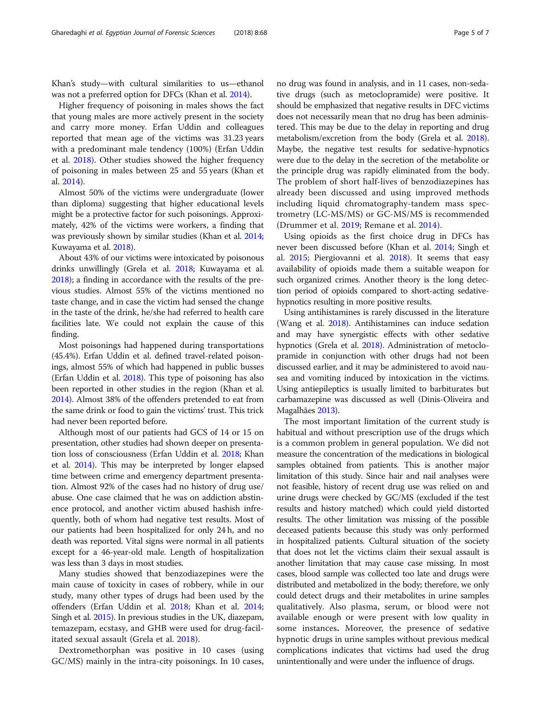Khan's study—with cultural similarities to us—ethanol was not a preferred option for DFCs (Khan et al. [2014](#page-5-0)).

Higher frequency of poisoning in males shows the fact that young males are more actively present in the society and carry more money. Erfan Uddin and colleagues reported that mean age of the victims was 31.23 years with a predominant male tendency (100%) (Erfan Uddin et al. [2018\)](#page-5-0). Other studies showed the higher frequency of poisoning in males between 25 and 55 years (Khan et al. [2014](#page-5-0)).

Almost 50% of the victims were undergraduate (lower than diploma) suggesting that higher educational levels might be a protective factor for such poisonings. Approximately, 42% of the victims were workers, a finding that was previously shown by similar studies (Khan et al. [2014](#page-5-0); Kuwayama et al. [2018\)](#page-5-0).

About 43% of our victims were intoxicated by poisonous drinks unwillingly (Grela et al. [2018;](#page-5-0) Kuwayama et al. [2018\)](#page-5-0); a finding in accordance with the results of the previous studies. Almost 55% of the victims mentioned no taste change, and in case the victim had sensed the change in the taste of the drink, he/she had referred to health care facilities late. We could not explain the cause of this finding.

Most poisonings had happened during transportations (45.4%). Erfan Uddin et al. defined travel-related poisonings, almost 55% of which had happened in public busses (Erfan Uddin et al. [2018](#page-5-0)). This type of poisoning has also been reported in other studies in the region (Khan et al. [2014\)](#page-5-0). Almost 38% of the offenders pretended to eat from the same drink or food to gain the victims' trust. This trick had never been reported before.

Although most of our patients had GCS of 14 or 15 on presentation, other studies had shown deeper on presentation loss of consciousness (Erfan Uddin et al. [2018;](#page-5-0) Khan et al. [2014](#page-5-0)). This may be interpreted by longer elapsed time between crime and emergency department presentation. Almost 92% of the cases had no history of drug use/ abuse. One case claimed that he was on addiction abstinence protocol, and another victim abused hashish infrequently, both of whom had negative test results. Most of our patients had been hospitalized for only 24 h, and no death was reported. Vital signs were normal in all patients except for a 46-year-old male. Length of hospitalization was less than 3 days in most studies.

Many studies showed that benzodiazepines were the main cause of toxicity in cases of robbery, while in our study, many other types of drugs had been used by the offenders (Erfan Uddin et al. [2018](#page-5-0); Khan et al. [2014](#page-5-0); Singh et al. [2015](#page-5-0)). In previous studies in the UK, diazepam, temazepam, ecstasy, and GHB were used for drug-facilitated sexual assault (Grela et al. [2018\)](#page-5-0).

Dextromethorphan was positive in 10 cases (using GC/MS) mainly in the intra-city poisonings. In 10 cases, no drug was found in analysis, and in 11 cases, non-sedative drugs (such as metoclopramide) were positive. It should be emphasized that negative results in DFC victims does not necessarily mean that no drug has been administered. This may be due to the delay in reporting and drug metabolism/excretion from the body (Grela et al. [2018](#page-5-0)). Maybe, the negative test results for sedative-hypnotics were due to the delay in the secretion of the metabolite or the principle drug was rapidly eliminated from the body. The problem of short half-lives of benzodiazepines has already been discussed and using improved methods including liquid chromatography-tandem mass spectrometry (LC-MS/MS) or GC-MS/MS is recommended (Drummer et al. [2019;](#page-5-0) Remane et al. [2014](#page-5-0)).

Using opioids as the first choice drug in DFCs has never been discussed before (Khan et al. [2014](#page-5-0); Singh et al. [2015;](#page-5-0) Piergiovanni et al. [2018](#page-5-0)). It seems that easy availability of opioids made them a suitable weapon for such organized crimes. Another theory is the long detection period of opioids compared to short-acting sedativehypnotics resulting in more positive results.

Using antihistamines is rarely discussed in the literature (Wang et al. [2018\)](#page-6-0). Antihistamines can induce sedation and may have synergistic effects with other sedative hypnotics (Grela et al. [2018](#page-5-0)). Administration of metoclopramide in conjunction with other drugs had not been discussed earlier, and it may be administered to avoid nausea and vomiting induced by intoxication in the victims. Using antiepileptics is usually limited to barbiturates but carbamazepine was discussed as well (Dinis-Oliveira and Magalhães [2013\)](#page-5-0).

The most important limitation of the current study is habitual and without prescription use of the drugs which is a common problem in general population. We did not measure the concentration of the medications in biological samples obtained from patients. This is another major limitation of this study. Since hair and nail analyses were not feasible, history of recent drug use was relied on and urine drugs were checked by GC/MS (excluded if the test results and history matched) which could yield distorted results. The other limitation was missing of the possible deceased patients because this study was only performed in hospitalized patients. Cultural situation of the society that does not let the victims claim their sexual assault is another limitation that may cause case missing. In most cases, blood sample was collected too late and drugs were distributed and metabolized in the body; therefore, we only could detect drugs and their metabolites in urine samples qualitatively. Also plasma, serum, or blood were not available enough or were present with low quality in some instances. Moreover, the presence of sedative hypnotic drugs in urine samples without previous medical complications indicates that victims had used the drug unintentionally and were under the influence of drugs.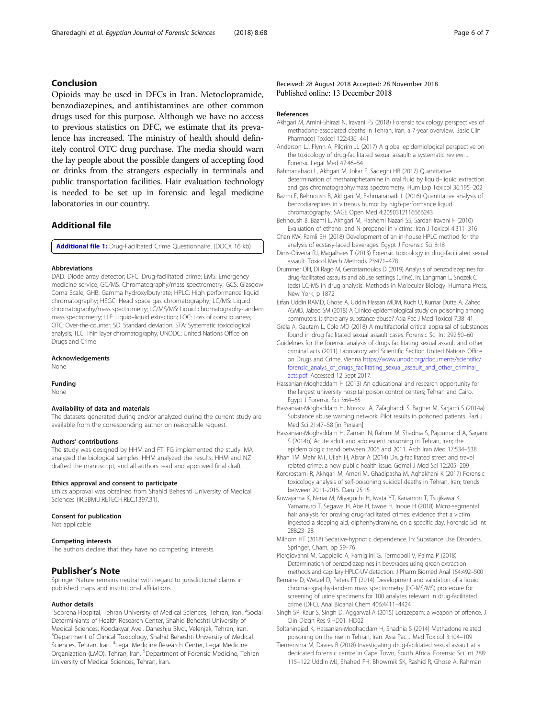# <span id="page-5-0"></span>Conclusion

Opioids may be used in DFCs in Iran. Metoclopramide, benzodiazepines, and antihistamines are other common drugs used for this purpose. Although we have no access to previous statistics on DFC, we estimate that its prevalence has increased. The ministry of health should definitely control OTC drug purchase. The media should warn the lay people about the possible dangers of accepting food or drinks from the strangers especially in terminals and public transportation facilities. Hair evaluation technology is needed to be set up in forensic and legal medicine laboratories in our country.

# Additional file

[Additional file 1:](https://doi.org/10.1186/s41935-018-0100-8) Drug-Facilitated Crime Questionnaire. (DOCX 16 kb)

#### Abbreviations

DAD: Diode array detector; DFC: Drug-facilitated crime; EMS: Emergency medicine service; GC/MS: Chromatography/mass spectrometry; GCS: Glasgow Coma Scale; GHB: Gamma hydroxylbutyrate; HPLC: High performance liquid chromatography; HSGC: Head space gas chromatography; LC/MS: Liquid chromatography/mass spectrometry; LC/MS/MS: Liquid chromatography-tandem mass spectrometry; LLE: Liquid–liquid extraction; LOC: Loss of consciousness; OTC: Over-the-counter; SD: Standard deviation; STA: Systematic toxicological analysis; TLC: Thin layer chromatography; UNODC: United Nations Office on Drugs and Crime

#### Acknowledgements

None

#### Funding

None

#### Availability of data and materials

The datasets generated during and/or analyzed during the current study are available from the corresponding author on reasonable request.

#### Authors' contributions

The study was designed by HHM and FT. FG implemented the study. MA analyzed the biological samples. HHM analyzed the results. HHM and NZ drafted the manuscript, and all authors read and approved final draft.

#### Ethics approval and consent to participate

Ethics approval was obtained from Shahid Beheshti University of Medical Sciences (IR.SBMU.RETECH.REC.1397.31).

#### Consent for publication

Not applicable

#### Competing interests

The authors declare that they have no competing interests.

## Publisher's Note

Springer Nature remains neutral with regard to jurisdictional claims in published maps and institutional affiliations.

#### Author details

<sup>1</sup>Soorena Hospital, Tehran University of Medical Sciences, Tehran, Iran. <sup>2</sup>Social Determiniants of Health Research Center, Shahid Beheshti University of Medical Sciences, Koodakyar Ave., Daneshju Blvd., Velenjak, Tehran, Iran. <sup>3</sup>Department of Clinical Toxicology, Shahid Beheshti University of Medical Sciences, Tehran, Iran. <sup>4</sup>Legal Medicine Research Center, Legal Medicine Organization (LMO), Tehran, Iran. <sup>5</sup>Department of Forensic Medicine, Tehran University of Medical Sciences, Tehran, Iran.

## Received: 28 August 2018 Accepted: 28 November 2018 Published online: 13 December 2018

#### References

- Akhgari M, Amini-Shirazi N, Iravani FS (2018) Forensic toxicology perspectives of methadone-associated deaths in Tehran, Iran, a 7-year overview. Basic Clin Pharmacol Toxicol 122:436–441
- Anderson LJ, Flynn A, Pilgrim JL (2017) A global epidemiological perspective on the toxicology of drug-facilitated sexual assault: a systematic review. J Forensic Legal Med 47:46–54
- Bahmanabadi L, Akhgari M, Jokar F, Sadeghi HB (2017) Quantitative determination of methamphetamine in oral fluid by liquid–liquid extraction and gas chromatography/mass spectrometry. Hum Exp Toxicol 36:195–202
- Bazmi E, Behnoush B, Akhgari M, Bahmanabadi L (2016) Quantitative analysis of benzodiazepines in vitreous humor by high-performance liquid chromatography. SAGE Open Med 4:2050312116666243
- Behnoush B, Bazmi E, Akhgari M, Hashemi Nazari SS, Sardari Iravani F (2010) Evaluation of ethanol and N-propanol in victims. Iran J Toxicol 4:311–316
- Chan KW, Ramli SH (2018) Development of an in-house HPLC method for the analysis of ecstasy-laced beverages. Egypt J Forensic Sci 8:18
- Dinis-Oliveira RJ, Magalhães T (2013) Forensic toxicology in drug-facilitated sexual assault. Toxicol Mech Methods 23:471–478
- Drummer OH, Di Rago M, Gerostamoulos D (2019) Analysis of benzodiazepines for drug-facilitated assaults and abuse settings (urine). In: Langman L, Snozek C (eds) LC-MS in drug analysis. Methods in Molecular Biology. Humana Press, New York, p 1872
- Erfan Uddin RAMD, Ghose A, Uddin Hassan MDM, Kuch U, Kumar Dutta A, Zahed ASMD, Jabed SM (2018) A Clinico-epidemiological study on poisoning among commuters: is there any substance abuse? Asia Pac J Med Toxicol 7:38–41
- Grela A, Gautam L, Cole MD (2018) A multifactorial critical appraisal of substances found in drug facilitated sexual assault cases. Forensic Sci Int 292:50–60
- Guidelines for the forensic analysis of drugs facilitating sexual assault and other criminal acts (2011) Laboratory and Scientific Section United Nations Office on Drugs and Crime, Vienna [https://www.unodc.org/documents/scientific/](https://www.unodc.org/documents/scientific/forensic_analys_of_drugs_facilitating_sexual_assault_and_other_criminal_acts.pdf) [forensic\\_analys\\_of\\_drugs\\_facilitating\\_sexual\\_assault\\_and\\_other\\_criminal\\_](https://www.unodc.org/documents/scientific/forensic_analys_of_drugs_facilitating_sexual_assault_and_other_criminal_acts.pdf) [acts.pdf.](https://www.unodc.org/documents/scientific/forensic_analys_of_drugs_facilitating_sexual_assault_and_other_criminal_acts.pdf) Accessed 12 Sept 2017.
- Hassanian-Moghaddam H (2013) An educational and research opportunity for the largest university hospital poison control centers; Tehran and Cairo. Egypt J Forensic Sci 3:64–65
- Hassanian-Moghaddam H, Noroozi A, Zafaghandi S, Bagher M, Sarjami S (2014a) Substance abuse warning network: Pilot results in poisoned patients. Razi J Med Sci 21:47–58 [in Persian]
- Hassanian-Moghaddam H, Zamani N, Rahimi M, Shadnia S, Pajoumand A, Sarjami S (2014b) Acute adult and adolescent poisoning in Tehran, Iran; the
- epidemiologic trend between 2006 and 2011. Arch Iran Med 17:534–538 Khan TM, Mehr MT, Ullah H, Abrar A (2014) Drug-facilitated street and travel related crime: a new public health issue. Gomal J Med Sci 12:205–209
- Kordrostami R, Akhgari M, Ameri M, Ghadipasha M, Aghakhani K (2017) Forensic toxicology analysis of self-poisoning suicidal deaths in Tehran, Iran; trends between 2011-2015. Daru 25:15
- Kuwayama K, Nariai M, Miyaguchi H, Iwata YT, Kanamori T, Tsujikawa K, Yamamuro T, Segawa H, Abe H, Iwase H, Inoue H (2018) Micro-segmental hair analysis for proving drug-facilitated crimes: evidence that a victim ingested a sleeping aid, diphenhydramine, on a specific day. Forensic Sci Int 288:23–28
- Milhorn HT (2018) Sedative-hypnotic dependence. In: Substance Use Disorders. Springer, Cham, pp 59–76

Piergiovanni M, Cappiello A, Famiglini G, Termopoli V, Palma P (2018) Determination of benzodiazepines in beverages using green extraction methods and capillary HPLC-UV detection. J Pharm Biomed Anal 154:492–500

- Remane D, Wetzel D, Peters FT (2014) Development and validation of a liquid chromatography-tandem mass spectrometry (LC-MS/MS) procedure for screening of urine specimens for 100 analytes relevant in drug-facilitated crime (DFC). Anal Bioanal Chem 406:4411–4424
- Singh SP, Kaur S, Singh D, Aggarwal A (2015) Lorazepam: a weapon of offence. J Clin Diagn Res 9:HD01–HD02
- Soltaninejad K, Hassanian-Moghaddam H, Shadnia S (2014) Methadone related poisoning on the rise in Tehran, Iran. Asia Pac J Med Toxicol 3:104–109
- Tiemensma M, Davies B (2018) Investigating drug-facilitated sexual assault at a dedicated forensic centre in Cape Town, South Africa. Forensic Sci Int 288: 115–122 Uddin MJ, Shahed FH, Bhowmik SK, Rashid R, Ghose A, Rahman